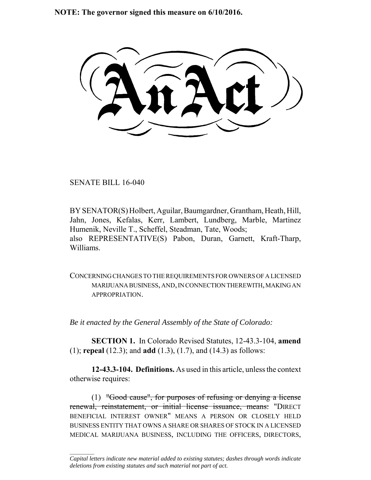**NOTE: The governor signed this measure on 6/10/2016.**

SENATE BILL 16-040

 $\frac{1}{2}$ 

BY SENATOR(S) Holbert, Aguilar, Baumgardner, Grantham, Heath, Hill, Jahn, Jones, Kefalas, Kerr, Lambert, Lundberg, Marble, Martinez Humenik, Neville T., Scheffel, Steadman, Tate, Woods; also REPRESENTATIVE(S) Pabon, Duran, Garnett, Kraft-Tharp, Williams.

CONCERNING CHANGES TO THE REQUIREMENTS FOR OWNERS OF A LICENSED MARIJUANA BUSINESS, AND, IN CONNECTION THEREWITH, MAKING AN **APPROPRIATION** 

*Be it enacted by the General Assembly of the State of Colorado:*

**SECTION 1.** In Colorado Revised Statutes, 12-43.3-104, **amend** (1); **repeal** (12.3); and **add** (1.3), (1.7), and (14.3) as follows:

**12-43.3-104. Definitions.** As used in this article, unless the context otherwise requires:

(1) "Good cause", for purposes of refusing or denying a license renewal, reinstatement, or initial license issuance, means: "DIRECT BENEFICIAL INTEREST OWNER" MEANS A PERSON OR CLOSELY HELD BUSINESS ENTITY THAT OWNS A SHARE OR SHARES OF STOCK IN A LICENSED MEDICAL MARIJUANA BUSINESS, INCLUDING THE OFFICERS, DIRECTORS,

*Capital letters indicate new material added to existing statutes; dashes through words indicate deletions from existing statutes and such material not part of act.*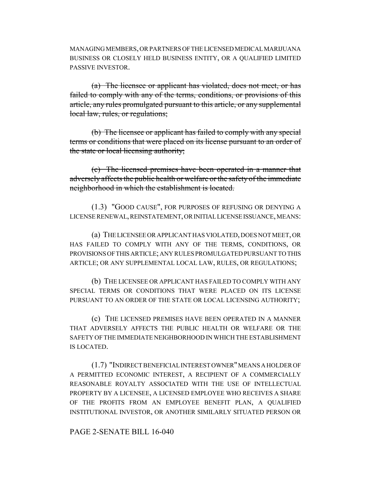MANAGING MEMBERS, OR PARTNERS OF THE LICENSED MEDICAL MARIJUANA BUSINESS OR CLOSELY HELD BUSINESS ENTITY, OR A QUALIFIED LIMITED PASSIVE INVESTOR.

(a) The licensee or applicant has violated, does not meet, or has failed to comply with any of the terms, conditions, or provisions of this article, any rules promulgated pursuant to this article, or any supplemental local law, rules, or regulations;

(b) The licensee or applicant has failed to comply with any special terms or conditions that were placed on its license pursuant to an order of the state or local licensing authority;

(c) The licensed premises have been operated in a manner that adversely affects the public health or welfare or the safety of the immediate neighborhood in which the establishment is located.

(1.3) "GOOD CAUSE", FOR PURPOSES OF REFUSING OR DENYING A LICENSE RENEWAL, REINSTATEMENT, OR INITIAL LICENSE ISSUANCE, MEANS:

(a) THE LICENSEE OR APPLICANT HAS VIOLATED, DOES NOT MEET, OR HAS FAILED TO COMPLY WITH ANY OF THE TERMS, CONDITIONS, OR PROVISIONS OF THIS ARTICLE; ANY RULES PROMULGATED PURSUANT TO THIS ARTICLE; OR ANY SUPPLEMENTAL LOCAL LAW, RULES, OR REGULATIONS;

(b) THE LICENSEE OR APPLICANT HAS FAILED TO COMPLY WITH ANY SPECIAL TERMS OR CONDITIONS THAT WERE PLACED ON ITS LICENSE PURSUANT TO AN ORDER OF THE STATE OR LOCAL LICENSING AUTHORITY;

(c) THE LICENSED PREMISES HAVE BEEN OPERATED IN A MANNER THAT ADVERSELY AFFECTS THE PUBLIC HEALTH OR WELFARE OR THE SAFETY OF THE IMMEDIATE NEIGHBORHOOD IN WHICH THE ESTABLISHMENT IS LOCATED.

(1.7) "INDIRECT BENEFICIAL INTEREST OWNER" MEANS A HOLDER OF A PERMITTED ECONOMIC INTEREST, A RECIPIENT OF A COMMERCIALLY REASONABLE ROYALTY ASSOCIATED WITH THE USE OF INTELLECTUAL PROPERTY BY A LICENSEE, A LICENSED EMPLOYEE WHO RECEIVES A SHARE OF THE PROFITS FROM AN EMPLOYEE BENEFIT PLAN, A QUALIFIED INSTITUTIONAL INVESTOR, OR ANOTHER SIMILARLY SITUATED PERSON OR

## PAGE 2-SENATE BILL 16-040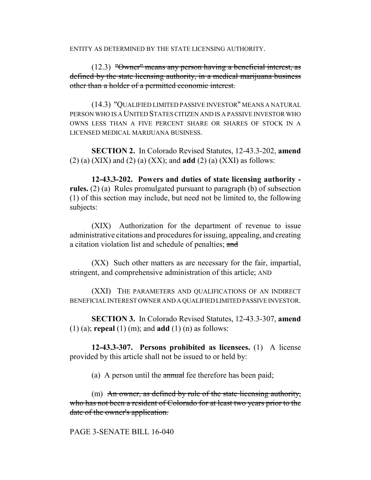ENTITY AS DETERMINED BY THE STATE LICENSING AUTHORITY.

(12.3) "Owner" means any person having a beneficial interest, as defined by the state licensing authority, in a medical marijuana business other than a holder of a permitted economic interest.

(14.3) "QUALIFIED LIMITED PASSIVE INVESTOR" MEANS A NATURAL PERSON WHO IS A UNITED STATES CITIZEN AND IS A PASSIVE INVESTOR WHO OWNS LESS THAN A FIVE PERCENT SHARE OR SHARES OF STOCK IN A LICENSED MEDICAL MARIJUANA BUSINESS.

**SECTION 2.** In Colorado Revised Statutes, 12-43.3-202, **amend** (2) (a) (XIX) and (2) (a) (XX); and **add** (2) (a) (XXI) as follows:

**12-43.3-202. Powers and duties of state licensing authority rules.** (2) (a) Rules promulgated pursuant to paragraph (b) of subsection (1) of this section may include, but need not be limited to, the following subjects:

(XIX) Authorization for the department of revenue to issue administrative citations and procedures for issuing, appealing, and creating a citation violation list and schedule of penalties; and

(XX) Such other matters as are necessary for the fair, impartial, stringent, and comprehensive administration of this article; AND

(XXI) THE PARAMETERS AND QUALIFICATIONS OF AN INDIRECT BENEFICIAL INTEREST OWNER AND A QUALIFIED LIMITED PASSIVE INVESTOR.

**SECTION 3.** In Colorado Revised Statutes, 12-43.3-307, **amend** (1) (a); **repeal** (1) (m); and **add** (1) (n) as follows:

**12-43.3-307. Persons prohibited as licensees.** (1) A license provided by this article shall not be issued to or held by:

(a) A person until the annual fee therefore has been paid;

(m) An owner, as defined by rule of the state licensing authority, who has not been a resident of Colorado for at least two years prior to the date of the owner's application.

### PAGE 3-SENATE BILL 16-040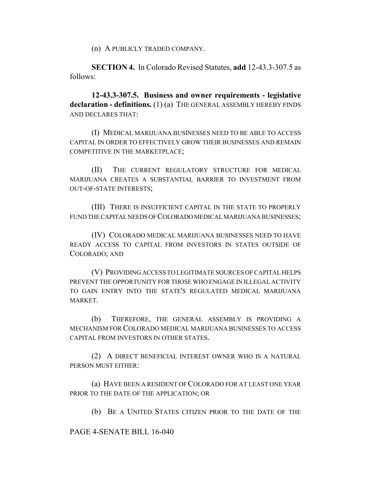(n) A PUBLICLY TRADED COMPANY.

**SECTION 4.** In Colorado Revised Statutes, **add** 12-43.3-307.5 as follows:

**12-43.3-307.5. Business and owner requirements - legislative declaration - definitions.** (1) (a) THE GENERAL ASSEMBLY HEREBY FINDS AND DECLARES THAT:

(I) MEDICAL MARIJUANA BUSINESSES NEED TO BE ABLE TO ACCESS CAPITAL IN ORDER TO EFFECTIVELY GROW THEIR BUSINESSES AND REMAIN COMPETITIVE IN THE MARKETPLACE;

(II) THE CURRENT REGULATORY STRUCTURE FOR MEDICAL MARIJUANA CREATES A SUBSTANTIAL BARRIER TO INVESTMENT FROM OUT-OF-STATE INTERESTS;

(III) THERE IS INSUFFICIENT CAPITAL IN THE STATE TO PROPERLY FUND THE CAPITAL NEEDS OF COLORADO MEDICAL MARIJUANA BUSINESSES;

(IV) COLORADO MEDICAL MARIJUANA BUSINESSES NEED TO HAVE READY ACCESS TO CAPITAL FROM INVESTORS IN STATES OUTSIDE OF COLORADO; AND

(V) PROVIDING ACCESS TO LEGITIMATE SOURCES OF CAPITAL HELPS PREVENT THE OPPORTUNITY FOR THOSE WHO ENGAGE IN ILLEGAL ACTIVITY TO GAIN ENTRY INTO THE STATE'S REGULATED MEDICAL MARIJUANA MARKET.

(b) THEREFORE, THE GENERAL ASSEMBLY IS PROVIDING A MECHANISM FOR COLORADO MEDICAL MARIJUANA BUSINESSES TO ACCESS CAPITAL FROM INVESTORS IN OTHER STATES.

(2) A DIRECT BENEFICIAL INTEREST OWNER WHO IS A NATURAL PERSON MUST EITHER:

(a) HAVE BEEN A RESIDENT OF COLORADO FOR AT LEAST ONE YEAR PRIOR TO THE DATE OF THE APPLICATION; OR

(b) BE A UNITED STATES CITIZEN PRIOR TO THE DATE OF THE

PAGE 4-SENATE BILL 16-040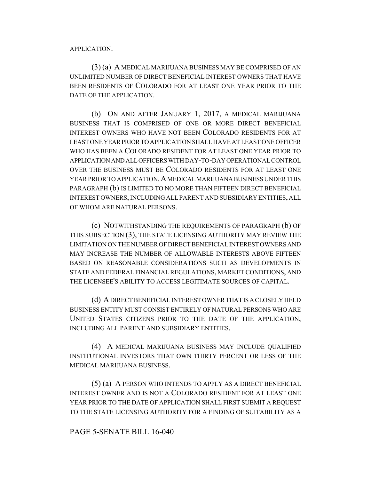APPLICATION.

(3) (a) A MEDICAL MARIJUANA BUSINESS MAY BE COMPRISED OF AN UNLIMITED NUMBER OF DIRECT BENEFICIAL INTEREST OWNERS THAT HAVE BEEN RESIDENTS OF COLORADO FOR AT LEAST ONE YEAR PRIOR TO THE DATE OF THE APPLICATION.

(b) ON AND AFTER JANUARY 1, 2017, A MEDICAL MARIJUANA BUSINESS THAT IS COMPRISED OF ONE OR MORE DIRECT BENEFICIAL INTEREST OWNERS WHO HAVE NOT BEEN COLORADO RESIDENTS FOR AT LEAST ONE YEAR PRIOR TO APPLICATION SHALL HAVE AT LEAST ONE OFFICER WHO HAS BEEN A COLORADO RESIDENT FOR AT LEAST ONE YEAR PRIOR TO APPLICATION AND ALL OFFICERS WITH DAY-TO-DAY OPERATIONAL CONTROL OVER THE BUSINESS MUST BE COLORADO RESIDENTS FOR AT LEAST ONE YEAR PRIOR TO APPLICATION. A MEDICAL MARIJUANA BUSINESS UNDER THIS PARAGRAPH (b) IS LIMITED TO NO MORE THAN FIFTEEN DIRECT BENEFICIAL INTEREST OWNERS, INCLUDING ALL PARENT AND SUBSIDIARY ENTITIES, ALL OF WHOM ARE NATURAL PERSONS.

(c) NOTWITHSTANDING THE REQUIREMENTS OF PARAGRAPH (b) OF THIS SUBSECTION (3), THE STATE LICENSING AUTHORITY MAY REVIEW THE LIMITATION ON THE NUMBER OF DIRECT BENEFICIAL INTEREST OWNERS AND MAY INCREASE THE NUMBER OF ALLOWABLE INTERESTS ABOVE FIFTEEN BASED ON REASONABLE CONSIDERATIONS SUCH AS DEVELOPMENTS IN STATE AND FEDERAL FINANCIAL REGULATIONS, MARKET CONDITIONS, AND THE LICENSEE'S ABILITY TO ACCESS LEGITIMATE SOURCES OF CAPITAL.

(d) A DIRECT BENEFICIAL INTEREST OWNER THAT IS A CLOSELY HELD BUSINESS ENTITY MUST CONSIST ENTIRELY OF NATURAL PERSONS WHO ARE UNITED STATES CITIZENS PRIOR TO THE DATE OF THE APPLICATION, INCLUDING ALL PARENT AND SUBSIDIARY ENTITIES.

(4) A MEDICAL MARIJUANA BUSINESS MAY INCLUDE QUALIFIED INSTITUTIONAL INVESTORS THAT OWN THIRTY PERCENT OR LESS OF THE MEDICAL MARIJUANA BUSINESS.

(5) (a) A PERSON WHO INTENDS TO APPLY AS A DIRECT BENEFICIAL INTEREST OWNER AND IS NOT A COLORADO RESIDENT FOR AT LEAST ONE YEAR PRIOR TO THE DATE OF APPLICATION SHALL FIRST SUBMIT A REQUEST TO THE STATE LICENSING AUTHORITY FOR A FINDING OF SUITABILITY AS A

## PAGE 5-SENATE BILL 16-040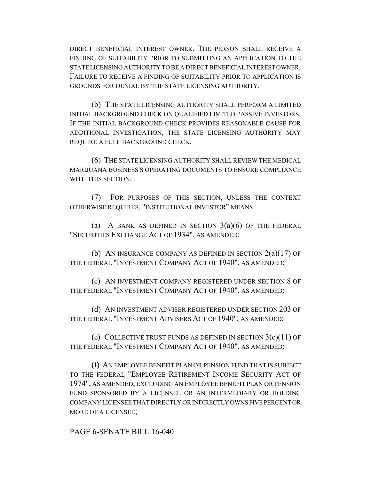DIRECT BENEFICIAL INTEREST OWNER. THE PERSON SHALL RECEIVE A FINDING OF SUITABILITY PRIOR TO SUBMITTING AN APPLICATION TO THE STATE LICENSING AUTHORITY TO BE A DIRECT BENEFICIAL INTEREST OWNER. FAILURE TO RECEIVE A FINDING OF SUITABILITY PRIOR TO APPLICATION IS GROUNDS FOR DENIAL BY THE STATE LICENSING AUTHORITY.

(b) THE STATE LICENSING AUTHORITY SHALL PERFORM A LIMITED INITIAL BACKGROUND CHECK ON QUALIFIED LIMITED PASSIVE INVESTORS. IF THE INITIAL BACKGROUND CHECK PROVIDES REASONABLE CAUSE FOR ADDITIONAL INVESTIGATION, THE STATE LICENSING AUTHORITY MAY REQUIRE A FULL BACKGROUND CHECK.

(6) THE STATE LICENSING AUTHORITY SHALL REVIEW THE MEDICAL MARIJUANA BUSINESS'S OPERATING DOCUMENTS TO ENSURE COMPLIANCE WITH THIS SECTION.

(7) FOR PURPOSES OF THIS SECTION, UNLESS THE CONTEXT OTHERWISE REQUIRES, "INSTITUTIONAL INVESTOR" MEANS:

(a) A BANK AS DEFINED IN SECTION  $3(a)(6)$  OF THE FEDERAL "SECURITIES EXCHANGE ACT OF 1934", AS AMENDED;

(b) AN INSURANCE COMPANY AS DEFINED IN SECTION  $2(a)(17)$  OF THE FEDERAL "INVESTMENT COMPANY ACT OF 1940", AS AMENDED;

(c) AN INVESTMENT COMPANY REGISTERED UNDER SECTION 8 OF THE FEDERAL "INVESTMENT COMPANY ACT OF 1940", AS AMENDED;

(d) AN INVESTMENT ADVISER REGISTERED UNDER SECTION 203 OF THE FEDERAL "INVESTMENT ADVISERS ACT OF 1940", AS AMENDED;

(e) COLLECTIVE TRUST FUNDS AS DEFINED IN SECTION  $3(c)(11)$  OF THE FEDERAL "INVESTMENT COMPANY ACT OF 1940", AS AMENDED;

(f) AN EMPLOYEE BENEFIT PLAN OR PENSION FUND THAT IS SUBJECT TO THE FEDERAL "EMPLOYEE RETIREMENT INCOME SECURITY ACT OF 1974", AS AMENDED, EXCLUDING AN EMPLOYEE BENEFIT PLAN OR PENSION FUND SPONSORED BY A LICENSEE OR AN INTERMEDIARY OR HOLDING COMPANY LICENSEE THAT DIRECTLY OR INDIRECTLY OWNS FIVE PERCENT OR MORE OF A LICENSEE;

PAGE 6-SENATE BILL 16-040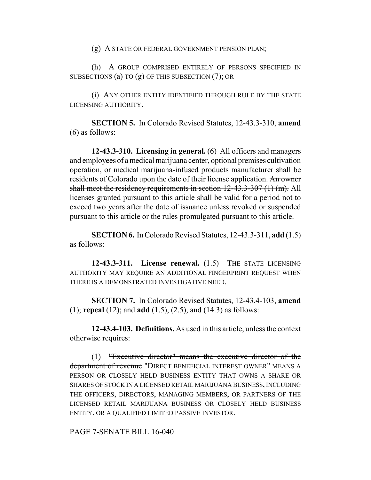(g) A STATE OR FEDERAL GOVERNMENT PENSION PLAN;

(h) A GROUP COMPRISED ENTIRELY OF PERSONS SPECIFIED IN SUBSECTIONS (a) TO (g) OF THIS SUBSECTION (7); OR

(i) ANY OTHER ENTITY IDENTIFIED THROUGH RULE BY THE STATE LICENSING AUTHORITY.

**SECTION 5.** In Colorado Revised Statutes, 12-43.3-310, **amend** (6) as follows:

**12-43.3-310. Licensing in general.** (6) All officers and managers and employees of a medical marijuana center, optional premises cultivation operation, or medical marijuana-infused products manufacturer shall be residents of Colorado upon the date of their license application. An owner shall meet the residency requirements in section 12-43.3-307 (1) (m). All licenses granted pursuant to this article shall be valid for a period not to exceed two years after the date of issuance unless revoked or suspended pursuant to this article or the rules promulgated pursuant to this article.

**SECTION 6.** In Colorado Revised Statutes, 12-43.3-311, **add** (1.5) as follows:

**12-43.3-311. License renewal.** (1.5) THE STATE LICENSING AUTHORITY MAY REQUIRE AN ADDITIONAL FINGERPRINT REQUEST WHEN THERE IS A DEMONSTRATED INVESTIGATIVE NEED.

**SECTION 7.** In Colorado Revised Statutes, 12-43.4-103, **amend** (1); **repeal** (12); and **add** (1.5), (2.5), and (14.3) as follows:

**12-43.4-103. Definitions.** As used in this article, unless the context otherwise requires:

(1) "Executive director" means the executive director of the department of revenue "DIRECT BENEFICIAL INTEREST OWNER" MEANS A PERSON OR CLOSELY HELD BUSINESS ENTITY THAT OWNS A SHARE OR SHARES OF STOCK IN A LICENSED RETAIL MARIJUANA BUSINESS, INCLUDING THE OFFICERS, DIRECTORS, MANAGING MEMBERS, OR PARTNERS OF THE LICENSED RETAIL MARIJUANA BUSINESS OR CLOSELY HELD BUSINESS ENTITY, OR A QUALIFIED LIMITED PASSIVE INVESTOR.

PAGE 7-SENATE BILL 16-040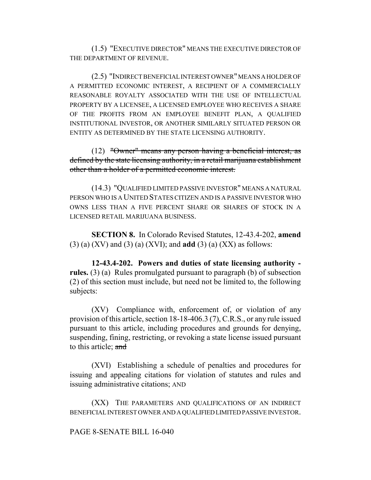(1.5) "EXECUTIVE DIRECTOR" MEANS THE EXECUTIVE DIRECTOR OF THE DEPARTMENT OF REVENUE.

(2.5) "INDIRECT BENEFICIAL INTEREST OWNER" MEANS A HOLDER OF A PERMITTED ECONOMIC INTEREST, A RECIPIENT OF A COMMERCIALLY REASONABLE ROYALTY ASSOCIATED WITH THE USE OF INTELLECTUAL PROPERTY BY A LICENSEE, A LICENSED EMPLOYEE WHO RECEIVES A SHARE OF THE PROFITS FROM AN EMPLOYEE BENEFIT PLAN, A QUALIFIED INSTITUTIONAL INVESTOR, OR ANOTHER SIMILARLY SITUATED PERSON OR ENTITY AS DETERMINED BY THE STATE LICENSING AUTHORITY.

(12) "Owner" means any person having a beneficial interest, as defined by the state licensing authority, in a retail marijuana establishment other than a holder of a permitted economic interest.

(14.3) "QUALIFIED LIMITED PASSIVE INVESTOR" MEANS A NATURAL PERSON WHO IS A UNITED STATES CITIZEN AND IS A PASSIVE INVESTOR WHO OWNS LESS THAN A FIVE PERCENT SHARE OR SHARES OF STOCK IN A LICENSED RETAIL MARIJUANA BUSINESS.

**SECTION 8.** In Colorado Revised Statutes, 12-43.4-202, **amend** (3) (a) (XV) and (3) (a) (XVI); and **add** (3) (a) (XX) as follows:

**12-43.4-202. Powers and duties of state licensing authority rules.** (3) (a) Rules promulgated pursuant to paragraph (b) of subsection (2) of this section must include, but need not be limited to, the following subjects:

(XV) Compliance with, enforcement of, or violation of any provision of this article, section 18-18-406.3 (7), C.R.S., or any rule issued pursuant to this article, including procedures and grounds for denying, suspending, fining, restricting, or revoking a state license issued pursuant to this article; and

(XVI) Establishing a schedule of penalties and procedures for issuing and appealing citations for violation of statutes and rules and issuing administrative citations; AND

(XX) THE PARAMETERS AND QUALIFICATIONS OF AN INDIRECT BENEFICIAL INTEREST OWNER AND A QUALIFIED LIMITED PASSIVE INVESTOR.

## PAGE 8-SENATE BILL 16-040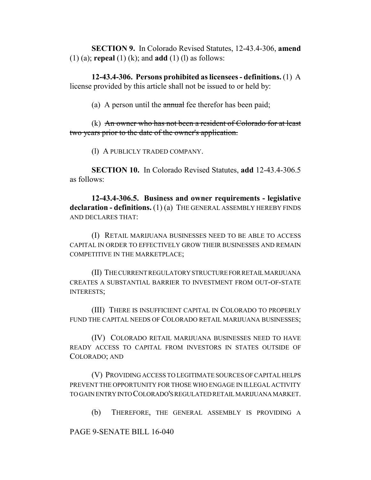**SECTION 9.** In Colorado Revised Statutes, 12-43.4-306, **amend** (1) (a); **repeal** (1) (k); and **add** (1) (l) as follows:

**12-43.4-306. Persons prohibited as licensees - definitions.** (1) A license provided by this article shall not be issued to or held by:

(a) A person until the  $\alpha$  annual fee therefor has been paid;

(k) An owner who has not been a resident of Colorado for at least two years prior to the date of the owner's application.

(l) A PUBLICLY TRADED COMPANY.

**SECTION 10.** In Colorado Revised Statutes, **add** 12-43.4-306.5 as follows:

**12-43.4-306.5. Business and owner requirements - legislative declaration - definitions.** (1) (a) THE GENERAL ASSEMBLY HEREBY FINDS AND DECLARES THAT:

(I) RETAIL MARIJUANA BUSINESSES NEED TO BE ABLE TO ACCESS CAPITAL IN ORDER TO EFFECTIVELY GROW THEIR BUSINESSES AND REMAIN COMPETITIVE IN THE MARKETPLACE;

(II) THE CURRENT REGULATORY STRUCTURE FOR RETAIL MARIJUANA CREATES A SUBSTANTIAL BARRIER TO INVESTMENT FROM OUT-OF-STATE INTERESTS;

(III) THERE IS INSUFFICIENT CAPITAL IN COLORADO TO PROPERLY FUND THE CAPITAL NEEDS OF COLORADO RETAIL MARIJUANA BUSINESSES;

(IV) COLORADO RETAIL MARIJUANA BUSINESSES NEED TO HAVE READY ACCESS TO CAPITAL FROM INVESTORS IN STATES OUTSIDE OF COLORADO; AND

(V) PROVIDING ACCESS TO LEGITIMATE SOURCES OF CAPITAL HELPS PREVENT THE OPPORTUNITY FOR THOSE WHO ENGAGE IN ILLEGAL ACTIVITY TO GAIN ENTRY INTO COLORADO'S REGULATED RETAIL MARIJUANA MARKET.

(b) THEREFORE, THE GENERAL ASSEMBLY IS PROVIDING A

PAGE 9-SENATE BILL 16-040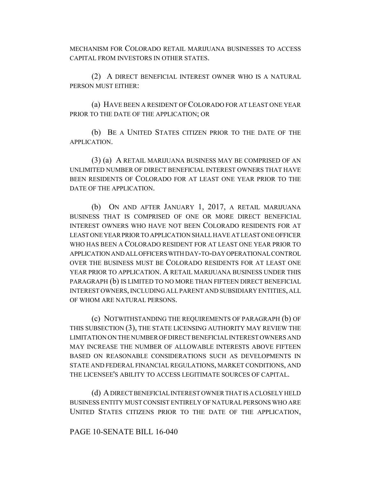MECHANISM FOR COLORADO RETAIL MARIJUANA BUSINESSES TO ACCESS CAPITAL FROM INVESTORS IN OTHER STATES.

(2) A DIRECT BENEFICIAL INTEREST OWNER WHO IS A NATURAL PERSON MUST EITHER:

(a) HAVE BEEN A RESIDENT OF COLORADO FOR AT LEAST ONE YEAR PRIOR TO THE DATE OF THE APPLICATION; OR

(b) BE A UNITED STATES CITIZEN PRIOR TO THE DATE OF THE APPLICATION.

(3) (a) A RETAIL MARIJUANA BUSINESS MAY BE COMPRISED OF AN UNLIMITED NUMBER OF DIRECT BENEFICIAL INTEREST OWNERS THAT HAVE BEEN RESIDENTS OF COLORADO FOR AT LEAST ONE YEAR PRIOR TO THE DATE OF THE APPLICATION.

(b) ON AND AFTER JANUARY 1, 2017, A RETAIL MARIJUANA BUSINESS THAT IS COMPRISED OF ONE OR MORE DIRECT BENEFICIAL INTEREST OWNERS WHO HAVE NOT BEEN COLORADO RESIDENTS FOR AT LEAST ONE YEAR PRIOR TO APPLICATION SHALL HAVE AT LEAST ONE OFFICER WHO HAS BEEN A COLORADO RESIDENT FOR AT LEAST ONE YEAR PRIOR TO APPLICATION AND ALL OFFICERS WITH DAY-TO-DAY OPERATIONAL CONTROL OVER THE BUSINESS MUST BE COLORADO RESIDENTS FOR AT LEAST ONE YEAR PRIOR TO APPLICATION. A RETAIL MARIJUANA BUSINESS UNDER THIS PARAGRAPH (b) IS LIMITED TO NO MORE THAN FIFTEEN DIRECT BENEFICIAL INTEREST OWNERS, INCLUDING ALL PARENT AND SUBSIDIARY ENTITIES, ALL OF WHOM ARE NATURAL PERSONS.

(c) NOTWITHSTANDING THE REQUIREMENTS OF PARAGRAPH (b) OF THIS SUBSECTION (3), THE STATE LICENSING AUTHORITY MAY REVIEW THE LIMITATION ON THE NUMBER OF DIRECT BENEFICIAL INTEREST OWNERS AND MAY INCREASE THE NUMBER OF ALLOWABLE INTERESTS ABOVE FIFTEEN BASED ON REASONABLE CONSIDERATIONS SUCH AS DEVELOPMENTS IN STATE AND FEDERAL FINANCIAL REGULATIONS, MARKET CONDITIONS, AND THE LICENSEE'S ABILITY TO ACCESS LEGITIMATE SOURCES OF CAPITAL.

(d) A DIRECT BENEFICIAL INTEREST OWNER THAT IS A CLOSELY HELD BUSINESS ENTITY MUST CONSIST ENTIRELY OF NATURAL PERSONS WHO ARE UNITED STATES CITIZENS PRIOR TO THE DATE OF THE APPLICATION,

# PAGE 10-SENATE BILL 16-040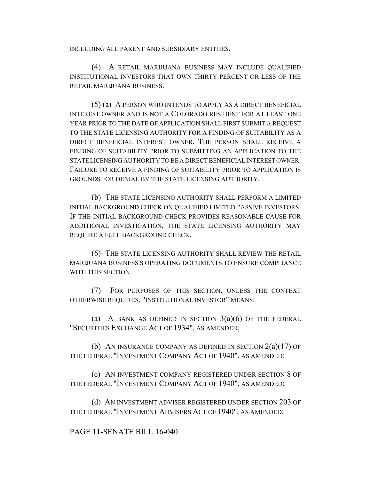INCLUDING ALL PARENT AND SUBSIDIARY ENTITIES.

(4) A RETAIL MARIJUANA BUSINESS MAY INCLUDE QUALIFIED INSTITUTIONAL INVESTORS THAT OWN THIRTY PERCENT OR LESS OF THE RETAIL MARIJUANA BUSINESS.

(5) (a) A PERSON WHO INTENDS TO APPLY AS A DIRECT BENEFICIAL INTEREST OWNER AND IS NOT A COLORADO RESIDENT FOR AT LEAST ONE YEAR PRIOR TO THE DATE OF APPLICATION SHALL FIRST SUBMIT A REQUEST TO THE STATE LICENSING AUTHORITY FOR A FINDING OF SUITABILITY AS A DIRECT BENEFICIAL INTEREST OWNER. THE PERSON SHALL RECEIVE A FINDING OF SUITABILITY PRIOR TO SUBMITTING AN APPLICATION TO THE STATE LICENSING AUTHORITY TO BE A DIRECT BENEFICIAL INTEREST OWNER. FAILURE TO RECEIVE A FINDING OF SUITABILITY PRIOR TO APPLICATION IS GROUNDS FOR DENIAL BY THE STATE LICENSING AUTHORITY.

(b) THE STATE LICENSING AUTHORITY SHALL PERFORM A LIMITED INITIAL BACKGROUND CHECK ON QUALIFIED LIMITED PASSIVE INVESTORS. IF THE INITIAL BACKGROUND CHECK PROVIDES REASONABLE CAUSE FOR ADDITIONAL INVESTIGATION, THE STATE LICENSING AUTHORITY MAY REQUIRE A FULL BACKGROUND CHECK.

(6) THE STATE LICENSING AUTHORITY SHALL REVIEW THE RETAIL MARIJUANA BUSINESS'S OPERATING DOCUMENTS TO ENSURE COMPLIANCE WITH THIS SECTION.

(7) FOR PURPOSES OF THIS SECTION, UNLESS THE CONTEXT OTHERWISE REQUIRES, "INSTITUTIONAL INVESTOR" MEANS:

(a) A BANK AS DEFINED IN SECTION  $3(a)(6)$  OF THE FEDERAL "SECURITIES EXCHANGE ACT OF 1934", AS AMENDED;

(b) AN INSURANCE COMPANY AS DEFINED IN SECTION  $2(a)(17)$  OF THE FEDERAL "INVESTMENT COMPANY ACT OF 1940", AS AMENDED;

(c) AN INVESTMENT COMPANY REGISTERED UNDER SECTION 8 OF THE FEDERAL "INVESTMENT COMPANY ACT OF 1940", AS AMENDED;

(d) AN INVESTMENT ADVISER REGISTERED UNDER SECTION 203 OF THE FEDERAL "INVESTMENT ADVISERS ACT OF 1940", AS AMENDED;

PAGE 11-SENATE BILL 16-040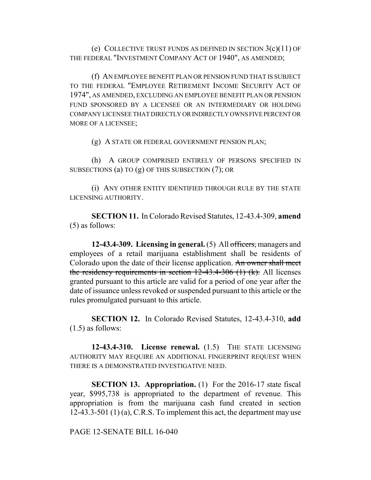(e) COLLECTIVE TRUST FUNDS AS DEFINED IN SECTION  $3(c)(11)$  OF THE FEDERAL "INVESTMENT COMPANY ACT OF 1940", AS AMENDED;

(f) AN EMPLOYEE BENEFIT PLAN OR PENSION FUND THAT IS SUBJECT TO THE FEDERAL "EMPLOYEE RETIREMENT INCOME SECURITY ACT OF 1974", AS AMENDED, EXCLUDING AN EMPLOYEE BENEFIT PLAN OR PENSION FUND SPONSORED BY A LICENSEE OR AN INTERMEDIARY OR HOLDING COMPANY LICENSEE THAT DIRECTLY OR INDIRECTLY OWNS FIVE PERCENT OR MORE OF A LICENSEE;

(g) A STATE OR FEDERAL GOVERNMENT PENSION PLAN;

(h) A GROUP COMPRISED ENTIRELY OF PERSONS SPECIFIED IN SUBSECTIONS (a) TO (g) OF THIS SUBSECTION (7); OR

(i) ANY OTHER ENTITY IDENTIFIED THROUGH RULE BY THE STATE LICENSING AUTHORITY.

**SECTION 11.** In Colorado Revised Statutes, 12-43.4-309, **amend** (5) as follows:

**12-43.4-309. Licensing in general.** (5) All officers, managers and employees of a retail marijuana establishment shall be residents of Colorado upon the date of their license application. An owner shall meet the residency requirements in section  $12-43.4-306$  (1) (k). All licenses granted pursuant to this article are valid for a period of one year after the date of issuance unless revoked or suspended pursuant to this article or the rules promulgated pursuant to this article.

**SECTION 12.** In Colorado Revised Statutes, 12-43.4-310, **add** (1.5) as follows:

**12-43.4-310. License renewal.** (1.5) THE STATE LICENSING AUTHORITY MAY REQUIRE AN ADDITIONAL FINGERPRINT REQUEST WHEN THERE IS A DEMONSTRATED INVESTIGATIVE NEED.

**SECTION 13. Appropriation.** (1) For the 2016-17 state fiscal year, \$995,738 is appropriated to the department of revenue. This appropriation is from the marijuana cash fund created in section 12-43.3-501 (1) (a), C.R.S. To implement this act, the department may use

PAGE 12-SENATE BILL 16-040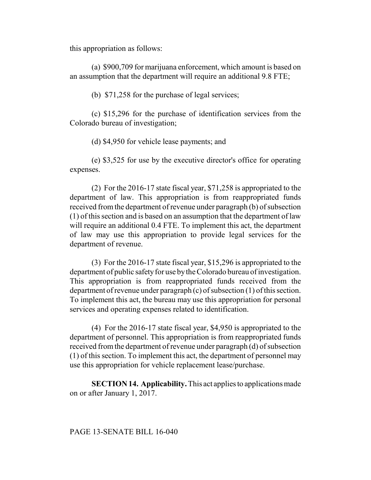this appropriation as follows:

(a) \$900,709 for marijuana enforcement, which amount is based on an assumption that the department will require an additional 9.8 FTE;

(b) \$71,258 for the purchase of legal services;

(c) \$15,296 for the purchase of identification services from the Colorado bureau of investigation;

(d) \$4,950 for vehicle lease payments; and

(e) \$3,525 for use by the executive director's office for operating expenses.

(2) For the 2016-17 state fiscal year, \$71,258 is appropriated to the department of law. This appropriation is from reappropriated funds received from the department of revenue under paragraph (b) of subsection (1) of this section and is based on an assumption that the department of law will require an additional 0.4 FTE. To implement this act, the department of law may use this appropriation to provide legal services for the department of revenue.

(3) For the 2016-17 state fiscal year, \$15,296 is appropriated to the department of public safety for use by the Colorado bureau of investigation. This appropriation is from reappropriated funds received from the department of revenue under paragraph (c) of subsection (1) of this section. To implement this act, the bureau may use this appropriation for personal services and operating expenses related to identification.

(4) For the 2016-17 state fiscal year, \$4,950 is appropriated to the department of personnel. This appropriation is from reappropriated funds received from the department of revenue under paragraph (d) of subsection (1) of this section. To implement this act, the department of personnel may use this appropriation for vehicle replacement lease/purchase.

**SECTION 14. Applicability.** This act applies to applications made on or after January 1, 2017.